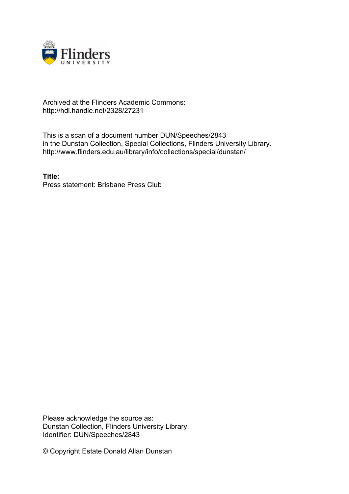

## Archived at the Flinders Academic Commons: http://hdl.handle.net/2328/27231

This is a scan of a document number DUN/Speeches/2843 in the Dunstan Collection, Special Collections, Flinders University Library. http://www.flinders.edu.au/library/info/collections/special/dunstan/

**Title:** Press statement: Brisbane Press Club

Please acknowledge the source as: Dunstan Collection, Flinders University Library. Identifier: DUN/Speeches/2843

© Copyright Estate Donald Allan Dunstan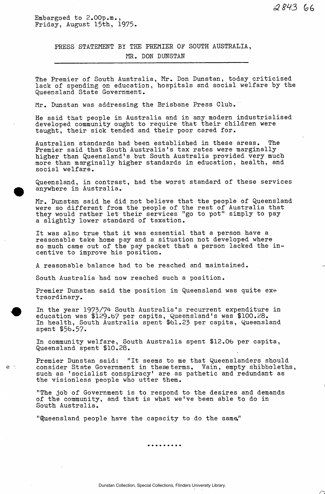Embargoed to 2.00p.m., Friday, August 15th, 1975.

> PRESS STATEMENT BY THE PREMIER OF SOUTH AUSTRALIA, MR. DON DUNSTAN

The Premier of South Australia, Mr. Don Dunstan, today criticised lack of spending on education, hospitals and social welfare by the Queensland State Government.

Mr. Dunstan was addressing the Brisbane Press Club.

He said that people in Australia and in any modern industrialised developed community ought to require that their children were taught, their sick tended and their poor cared for.

Australian standards had been established in these areas. The Premier said that South Australia's tax rates were marginally higher than Queensland's but South Australia provided very much more than marginally higher standards in education, health, and social welfare.

Queensland, in contrast, had the worst standard of these services anywhere in Australia.

Mr. Dunstan said he did not believe that the people of Queensland were so different from the people of the rest of Australia that they would rather let their services "go to pot" simply to pay a slightly lower standard of taxation.

It was also true that it was essential that a person have a reasonable take home pay and a situation not developed where so much came out of the pay packet that a person lacked the incentive to improve his position.

A reasonable balance had to be reached and maintained.

South Australia had now reached such a position.

 $e$   $\therefore$ 

Premier Dunstan said the position in Queensland was quite  $ex\ddot{+}$ traordinary.

In the year 1973/74 South Australia's recurrent expenditure in education was \$129.67 per capita, Queensland's was \$100.28. In health, South Australia spent \$61.23 per capita, Queensland spent \$56.57.

In community welfare, South Australia spent \$12.06 per capita, Queensland spent \$10.28.

Premier Dunstan said: "It seems to me that Queenslanders should consider State Government in these terms. Vain, empty shibboleths, such as 'socialist conspiracy' are as pathetic and redundant as the visionless people who utter them.

"The job of Government is to respond to the desires and demands of the community, and that is what we've been able to do in South Australia.

"Queensland people have the capacity to do the sama"

. . . . . . . . .